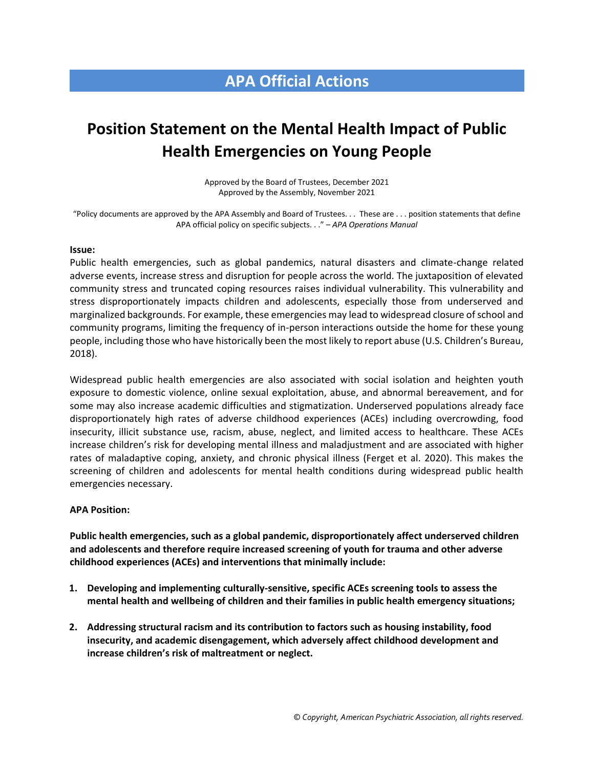## **APA Official Actions**

# **Position Statement on the Mental Health Impact of Public Health Emergencies on Young People**

Approved by the Board of Trustees, December 2021 Approved by the Assembly, November 2021

"Policy documents are approved by the APA Assembly and Board of Trustees. . . These are . . . position statements that define APA official policy on specific subjects. . ." – *APA Operations Manual*

#### **Issue:**

Public health emergencies, such as global pandemics, natural disasters and climate-change related adverse events, increase stress and disruption for people across the world. The juxtaposition of elevated community stress and truncated coping resources raises individual vulnerability. This vulnerability and stress disproportionately impacts children and adolescents, especially those from underserved and marginalized backgrounds. For example, these emergencies may lead to widespread closure of school and community programs, limiting the frequency of in-person interactions outside the home for these young people, including those who have historically been the most likely to report abuse (U.S. Children's Bureau, 2018).

Widespread public health emergencies are also associated with social isolation and heighten youth exposure to domestic violence, online sexual exploitation, abuse, and abnormal bereavement, and for some may also increase academic difficulties and stigmatization. Underserved populations already face disproportionately high rates of adverse childhood experiences (ACEs) including overcrowding, food insecurity, illicit substance use, racism, abuse, neglect, and limited access to healthcare. These ACEs increase children's risk for developing mental illness and maladjustment and are associated with higher rates of maladaptive coping, anxiety, and chronic physical illness (Ferget et al. 2020). This makes the screening of children and adolescents for mental health conditions during widespread public health emergencies necessary.

#### **APA Position:**

**Public health emergencies, such as a global pandemic, disproportionately affect underserved children and adolescents and therefore require increased screening of youth for trauma and other adverse childhood experiences (ACEs) and interventions that minimally include:** 

- **1. Developing and implementing culturally-sensitive, specific ACEs screening tools to assess the mental health and wellbeing of children and their families in public health emergency situations;**
- **2. Addressing structural racism and its contribution to factors such as housing instability, food insecurity, and academic disengagement, which adversely affect childhood development and increase children's risk of maltreatment or neglect.**